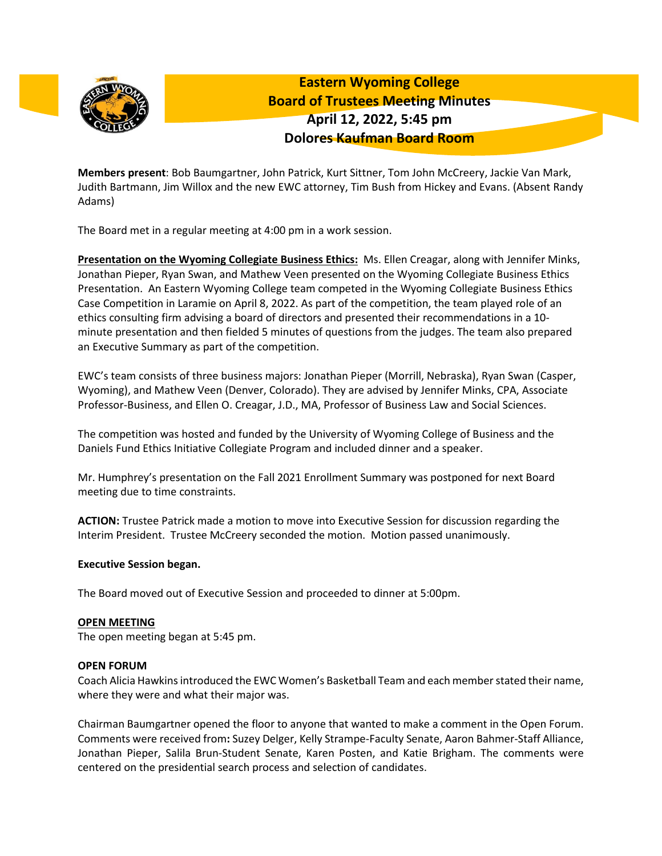

**Eastern Wyoming College Board of Trustees Meeting Minutes April 12, 2022, 5:45 pm Dolores Kaufman Board Room**

**Members present**: Bob Baumgartner, John Patrick, Kurt Sittner, Tom John McCreery, Jackie Van Mark, Judith Bartmann, Jim Willox and the new EWC attorney, Tim Bush from Hickey and Evans. (Absent Randy Adams)

The Board met in a regular meeting at 4:00 pm in a work session.

**Presentation on the Wyoming Collegiate Business Ethics:** Ms. Ellen Creagar, along with Jennifer Minks, Jonathan Pieper, Ryan Swan, and Mathew Veen presented on the Wyoming Collegiate Business Ethics Presentation. An Eastern Wyoming College team competed in the Wyoming Collegiate Business Ethics Case Competition in Laramie on April 8, 2022. As part of the competition, the team played role of an ethics consulting firm advising a board of directors and presented their recommendations in a 10 minute presentation and then fielded 5 minutes of questions from the judges. The team also prepared an Executive Summary as part of the competition.

EWC's team consists of three business majors: Jonathan Pieper (Morrill, Nebraska), Ryan Swan (Casper, Wyoming), and Mathew Veen (Denver, Colorado). They are advised by Jennifer Minks, CPA, Associate Professor-Business, and Ellen O. Creagar, J.D., MA, Professor of Business Law and Social Sciences.

The competition was hosted and funded by the University of Wyoming College of Business and the Daniels Fund Ethics Initiative Collegiate Program and included dinner and a speaker.

Mr. Humphrey's presentation on the Fall 2021 Enrollment Summary was postponed for next Board meeting due to time constraints.

**ACTION:** Trustee Patrick made a motion to move into Executive Session for discussion regarding the Interim President. Trustee McCreery seconded the motion. Motion passed unanimously.

### **Executive Session began.**

The Board moved out of Executive Session and proceeded to dinner at 5:00pm.

### **OPEN MEETING**

The open meeting began at 5:45 pm.

### **OPEN FORUM**

Coach Alicia Hawkins introduced the EWC Women's Basketball Team and each member stated their name, where they were and what their major was.

Chairman Baumgartner opened the floor to anyone that wanted to make a comment in the Open Forum. Comments were received from**:** Suzey Delger, Kelly Strampe-Faculty Senate, Aaron Bahmer-Staff Alliance, Jonathan Pieper, Salila Brun-Student Senate, Karen Posten, and Katie Brigham. The comments were centered on the presidential search process and selection of candidates.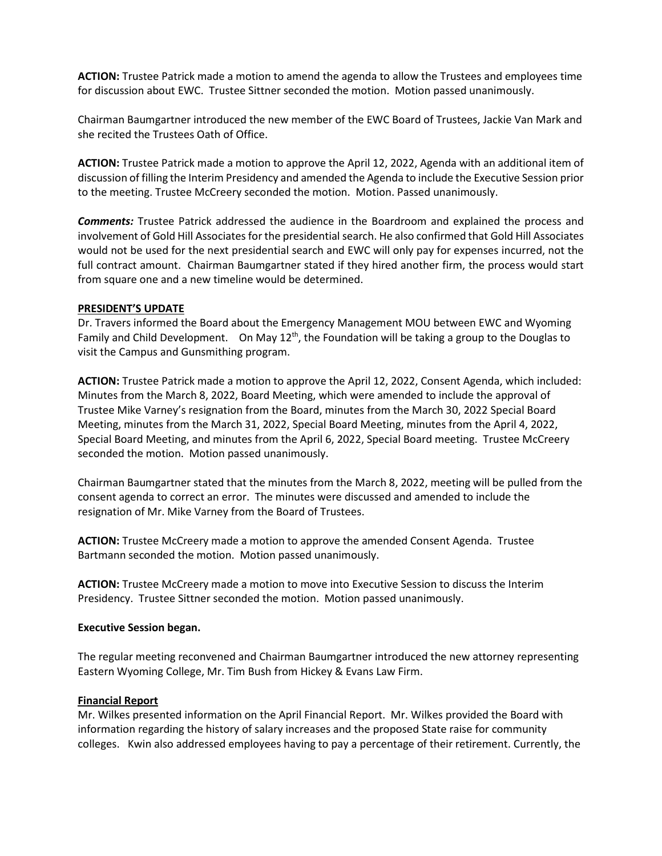**ACTION:** Trustee Patrick made a motion to amend the agenda to allow the Trustees and employees time for discussion about EWC. Trustee Sittner seconded the motion. Motion passed unanimously.

Chairman Baumgartner introduced the new member of the EWC Board of Trustees, Jackie Van Mark and she recited the Trustees Oath of Office.

**ACTION:** Trustee Patrick made a motion to approve the April 12, 2022, Agenda with an additional item of discussion of filling the Interim Presidency and amended the Agenda to include the Executive Session prior to the meeting. Trustee McCreery seconded the motion. Motion. Passed unanimously.

*Comments:* Trustee Patrick addressed the audience in the Boardroom and explained the process and involvement of Gold Hill Associates for the presidential search. He also confirmed that Gold Hill Associates would not be used for the next presidential search and EWC will only pay for expenses incurred, not the full contract amount. Chairman Baumgartner stated if they hired another firm, the process would start from square one and a new timeline would be determined.

#### **PRESIDENT'S UPDATE**

Dr. Travers informed the Board about the Emergency Management MOU between EWC and Wyoming Family and Child Development. On May  $12<sup>th</sup>$ , the Foundation will be taking a group to the Douglas to visit the Campus and Gunsmithing program.

**ACTION:** Trustee Patrick made a motion to approve the April 12, 2022, Consent Agenda, which included: Minutes from the March 8, 2022, Board Meeting, which were amended to include the approval of Trustee Mike Varney's resignation from the Board, minutes from the March 30, 2022 Special Board Meeting, minutes from the March 31, 2022, Special Board Meeting, minutes from the April 4, 2022, Special Board Meeting, and minutes from the April 6, 2022, Special Board meeting. Trustee McCreery seconded the motion. Motion passed unanimously.

Chairman Baumgartner stated that the minutes from the March 8, 2022, meeting will be pulled from the consent agenda to correct an error. The minutes were discussed and amended to include the resignation of Mr. Mike Varney from the Board of Trustees.

**ACTION:** Trustee McCreery made a motion to approve the amended Consent Agenda. Trustee Bartmann seconded the motion. Motion passed unanimously.

**ACTION:** Trustee McCreery made a motion to move into Executive Session to discuss the Interim Presidency. Trustee Sittner seconded the motion. Motion passed unanimously.

### **Executive Session began.**

The regular meeting reconvened and Chairman Baumgartner introduced the new attorney representing Eastern Wyoming College, Mr. Tim Bush from Hickey & Evans Law Firm.

#### **Financial Report**

Mr. Wilkes presented information on the April Financial Report. Mr. Wilkes provided the Board with information regarding the history of salary increases and the proposed State raise for community colleges. Kwin also addressed employees having to pay a percentage of their retirement. Currently, the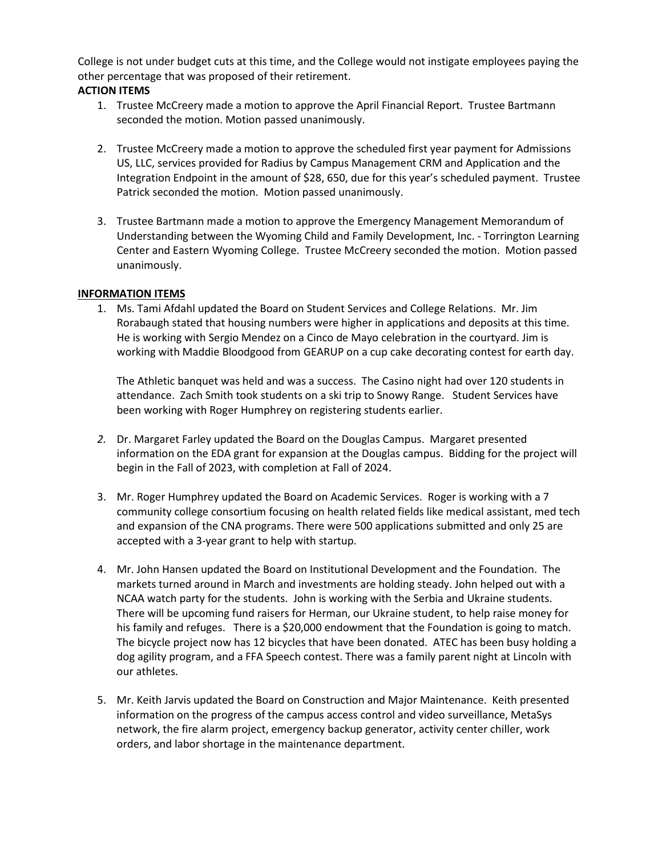College is not under budget cuts at this time, and the College would not instigate employees paying the other percentage that was proposed of their retirement.

# **ACTION ITEMS**

- 1. Trustee McCreery made a motion to approve the April Financial Report. Trustee Bartmann seconded the motion. Motion passed unanimously.
- 2. Trustee McCreery made a motion to approve the scheduled first year payment for Admissions US, LLC, services provided for Radius by Campus Management CRM and Application and the Integration Endpoint in the amount of \$28, 650, due for this year's scheduled payment. Trustee Patrick seconded the motion. Motion passed unanimously.
- 3. Trustee Bartmann made a motion to approve the Emergency Management Memorandum of Understanding between the Wyoming Child and Family Development, Inc. - Torrington Learning Center and Eastern Wyoming College. Trustee McCreery seconded the motion. Motion passed unanimously.

## **INFORMATION ITEMS**

1. Ms. Tami Afdahl updated the Board on Student Services and College Relations. Mr. Jim Rorabaugh stated that housing numbers were higher in applications and deposits at this time. He is working with Sergio Mendez on a Cinco de Mayo celebration in the courtyard. Jim is working with Maddie Bloodgood from GEARUP on a cup cake decorating contest for earth day.

The Athletic banquet was held and was a success. The Casino night had over 120 students in attendance. Zach Smith took students on a ski trip to Snowy Range. Student Services have been working with Roger Humphrey on registering students earlier.

- *2.* Dr. Margaret Farley updated the Board on the Douglas Campus. Margaret presented information on the EDA grant for expansion at the Douglas campus. Bidding for the project will begin in the Fall of 2023, with completion at Fall of 2024.
- 3. Mr. Roger Humphrey updated the Board on Academic Services. Roger is working with a 7 community college consortium focusing on health related fields like medical assistant, med tech and expansion of the CNA programs. There were 500 applications submitted and only 25 are accepted with a 3-year grant to help with startup.
- 4. Mr. John Hansen updated the Board on Institutional Development and the Foundation. The markets turned around in March and investments are holding steady. John helped out with a NCAA watch party for the students. John is working with the Serbia and Ukraine students. There will be upcoming fund raisers for Herman, our Ukraine student, to help raise money for his family and refuges. There is a \$20,000 endowment that the Foundation is going to match. The bicycle project now has 12 bicycles that have been donated. ATEC has been busy holding a dog agility program, and a FFA Speech contest. There was a family parent night at Lincoln with our athletes.
- 5. Mr. Keith Jarvis updated the Board on Construction and Major Maintenance. Keith presented information on the progress of the campus access control and video surveillance, MetaSys network, the fire alarm project, emergency backup generator, activity center chiller, work orders, and labor shortage in the maintenance department.